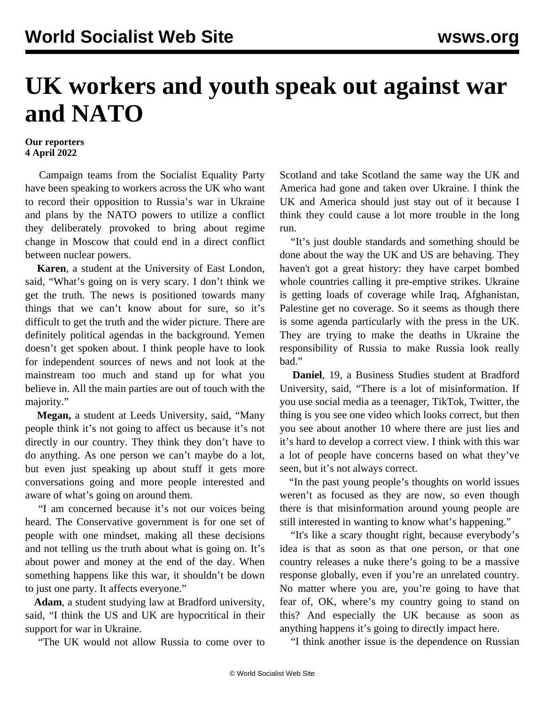## **UK workers and youth speak out against war and NATO**

## **Our reporters 4 April 2022**

 Campaign teams from the Socialist Equality Party have been speaking to workers across the UK who want to record their opposition to Russia's war in Ukraine and plans by the NATO powers to utilize a conflict they deliberately provoked to bring about regime change in Moscow that could end in a direct conflict between nuclear powers.

 **Karen**, a student at the University of East London, said, "What's going on is very scary. I don't think we get the truth. The news is positioned towards many things that we can't know about for sure, so it's difficult to get the truth and the wider picture. There are definitely political agendas in the background. Yemen doesn't get spoken about. I think people have to look for independent sources of news and not look at the mainstream too much and stand up for what you believe in. All the main parties are out of touch with the majority."

 **Megan,** a student at Leeds University, said, "Many people think it's not going to affect us because it's not directly in our country. They think they don't have to do anything. As one person we can't maybe do a lot, but even just speaking up about stuff it gets more conversations going and more people interested and aware of what's going on around them.

 "I am concerned because it's not our voices being heard. The Conservative government is for one set of people with one mindset, making all these decisions and not telling us the truth about what is going on. It's about power and money at the end of the day. When something happens like this war, it shouldn't be down to just one party. It affects everyone."

 **Adam**, a student studying law at Bradford university, said, "I think the US and UK are hypocritical in their support for war in Ukraine.

"The UK would not allow Russia to come over to

Scotland and take Scotland the same way the UK and America had gone and taken over Ukraine. I think the UK and America should just stay out of it because I think they could cause a lot more trouble in the long run.

 "It's just double standards and something should be done about the way the UK and US are behaving. They haven't got a great history: they have carpet bombed whole countries calling it pre-emptive strikes. Ukraine is getting loads of coverage while Iraq, Afghanistan, Palestine get no coverage. So it seems as though there is some agenda particularly with the press in the UK. They are trying to make the deaths in Ukraine the responsibility of Russia to make Russia look really bad."

 **Daniel**, 19, a Business Studies student at Bradford University, said, "There is a lot of misinformation. If you use social media as a teenager, TikTok, Twitter, the thing is you see one video which looks correct, but then you see about another 10 where there are just lies and it's hard to develop a correct view. I think with this war a lot of people have concerns based on what they've seen, but it's not always correct.

 "In the past young people's thoughts on world issues weren't as focused as they are now, so even though there is that misinformation around young people are still interested in wanting to know what's happening."

 "It's like a scary thought right, because everybody's idea is that as soon as that one person, or that one country releases a nuke there's going to be a massive response globally, even if you're an unrelated country. No matter where you are, you're going to have that fear of, OK, where's my country going to stand on this? And especially the UK because as soon as anything happens it's going to directly impact here.

"I think another issue is the dependence on Russian